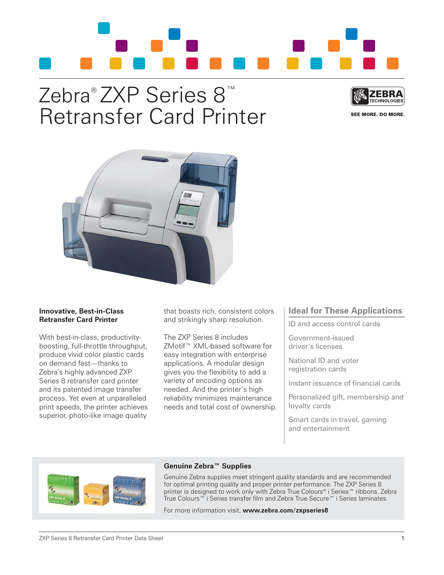

# Zebra® ZXP Series 8™ Retransfer Card Printer



SEE MORE. DO MORE.



## **Innovative, Best-in-Class Retransfer Card Printer**

With best-in-class, productivityboosting, full-throttle throughput, produce vivid color plastic cards on demand fast—thanks to Zebra's highly advanced ZXP Series 8 retransfer card printer and its patented image transfer process. Yet even at unparalleled print speeds, the printer achieves superior, photo-like image quality

that boasts rich, consistent colors and strikingly sharp resolution.

The ZXP Series 8 includes ZMotif™ XML-based software for easy integration with enterprise applications. A modular design gives you the flexibility to add a variety of encoding options as needed. And the printer's high reliability minimizes maintenance needs and total cost of ownership.

# **Ideal for These Applications**

ID and access control cards

Government-issued driver's licenses

National ID and voter registration cards

Instant issuance of financial cards

Personalized gift, membership and loyalty cards

Smart cards in travel, gaming and entertainment



# **Genuine Zebra™ Supplies**

Genuine Zebra supplies meet stringent quality standards and are recommended for optimal printing quality and proper printer performance. The ZXP Series 8 printer is designed to work only with Zebra True Colours® i Series™ ribbons, Zebra True Colours™ i Series transfer film and Zebra True Secure™ i Series laminates.

For more information visit, **www.zebra.com/zxpseries8**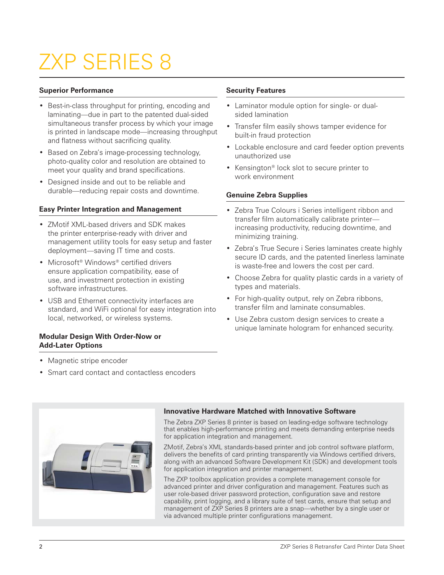# ZXP SERIES 8

## **Superior Performance**

- Best-in-class throughput for printing, encoding and laminating—due in part to the patented dual-sided simultaneous transfer process by which your image is printed in landscape mode—increasing throughput and flatness without sacrificing quality.
- Based on Zebra's image-processing technology, photo-quality color and resolution are obtained to meet your quality and brand specifications.
- Designed inside and out to be reliable and durable—reducing repair costs and downtime.

# **Easy Printer Integration and Management**

- ZMotif XML-based drivers and SDK makes the printer enterprise-ready with driver and management utility tools for easy setup and faster deployment—saving IT time and costs.
- Microsoft<sup>®</sup> Windows<sup>®</sup> certified drivers ensure application compatibility, ease of use, and investment protection in existing software infrastructures.
- USB and Ethernet connectivity interfaces are standard, and WiFi optional for easy integration into local, networked, or wireless systems.

## **Modular Design With Order-Now or Add-Later Options**

- Magnetic stripe encoder
- Smart card contact and contactless encoders

# **Security Features**

- Laminator module option for single- or dualsided lamination
- Transfer film easily shows tamper evidence for built-in fraud protection
- Lockable enclosure and card feeder option prevents unauthorized use
- Kensington® lock slot to secure printer to work environment

## **Genuine Zebra Supplies**

- Zebra True Colours i Series intelligent ribbon and transfer film automatically calibrate printer increasing productivity, reducing downtime, and minimizing training.
- Zebra's True Secure i Series laminates create highly secure ID cards, and the patented linerless laminate is waste-free and lowers the cost per card.
- Choose Zebra for quality plastic cards in a variety of types and materials.
- For high-quality output, rely on Zebra ribbons, transfer film and laminate consumables.
- Use Zebra custom design services to create a unique laminate hologram for enhanced security.



# **Innovative Hardware Matched with Innovative Software**

The Zebra ZXP Series 8 printer is based on leading-edge software technology that enables high-performance printing and meets demanding enterprise needs for application integration and management.

ZMotif, Zebra's XML standards-based printer and job control software platform, delivers the benefits of card printing transparently via Windows certified drivers, along with an advanced Software Development Kit (SDK) and development tools for application integration and printer management.

The ZXP toolbox application provides a complete management console for advanced printer and driver configuration and management. Features such as user role-based driver password protection, configuration save and restore capability, print logging, and a library suite of test cards, ensure that setup and management of ZXP Series 8 printers are a snap—whether by a single user or via advanced multiple printer configurations management.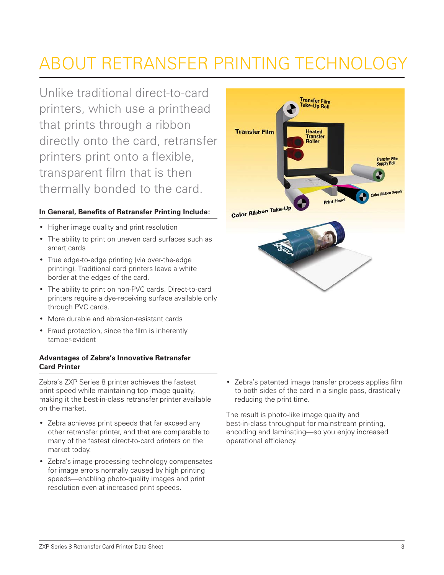# ABOUT RETRANSFER PRINTING TECHNOLOGY

Unlike traditional direct-to-card printers, which use a printhead that prints through a ribbon directly onto the card, retransfer printers print onto a flexible, transparent film that is then thermally bonded to the card.

# **In General, Benefits of Retransfer Printing Include:**

- Higher image quality and print resolution
- The ability to print on uneven card surfaces such as smart cards
- True edge-to-edge printing (via over-the-edge printing). Traditional card printers leave a white border at the edges of the card.
- The ability to print on non-PVC cards. Direct-to-card printers require a dye-receiving surface available only through PVC cards.
- More durable and abrasion-resistant cards
- Fraud protection, since the film is inherently tamper-evident

# **Advantages of Zebra's Innovative Retransfer Card Printer**

Zebra's ZXP Series 8 printer achieves the fastest print speed while maintaining top image quality, making it the best-in-class retransfer printer available on the market.

- Zebra achieves print speeds that far exceed any other retransfer printer, and that are comparable to many of the fastest direct-to-card printers on the market today.
- Zebra's image-processing technology compensates for image errors normally caused by high printing speeds—enabling photo-quality images and print resolution even at increased print speeds.



• Zebra's patented image transfer process applies film to both sides of the card in a single pass, drastically reducing the print time.

The result is photo-like image quality and best-in-class throughput for mainstream printing, encoding and laminating—so you enjoy increased operational efficiency.